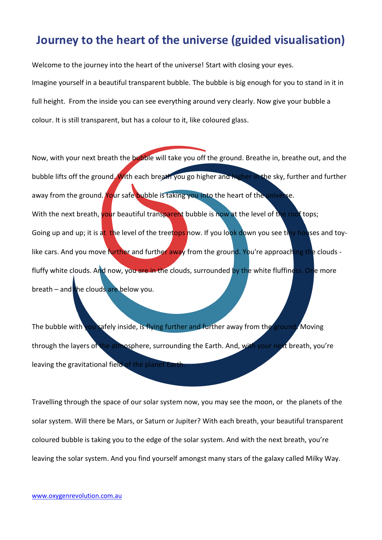## **Journey to the heart of the universe (guided visualisation)**

Welcome to the journey into the heart of the universe! Start with closing your eyes. Imagine yourself in a beautiful transparent bubble. The bubble is big enough for you to stand in it in full height. From the inside you can see everything around very clearly. Now give your bubble a colour. It is still transparent, but has a colour to it, like coloured glass.

Now, with your next breath the bubble will take you off the ground. Breathe in, breathe out, and the bubble lifts off the ground. With each breath you go higher and higher in the sky, further and further away from the ground. Your safe bubble is taking you into the heart of the universe. With the next breath, your beautiful transparent bubble is now at the level of the roof tops; Going up and up; it is at the level of the treetops now. If you look down you see tiny houses and toylike cars. And you move further and further away from the ground. You're approaching the clouds fluffy white clouds. And now, you are in the clouds, surrounded by the white fluffiness. One more breath – and the clouds are below you.

The bubble with you safely inside, is flying further and further away from the ground. Moving through the layers of the atmosphere, surrounding the Earth. And, with your next breath, you're leaving the gravitational field of the planet Earth

Travelling through the space of our solar system now, you may see the moon, or the planets of the solar system. Will there be Mars, or Saturn or Jupiter? With each breath, your beautiful transparent coloured bubble is taking you to the edge of the solar system. And with the next breath, you're leaving the solar system. And you find yourself amongst many stars of the galaxy called Milky Way.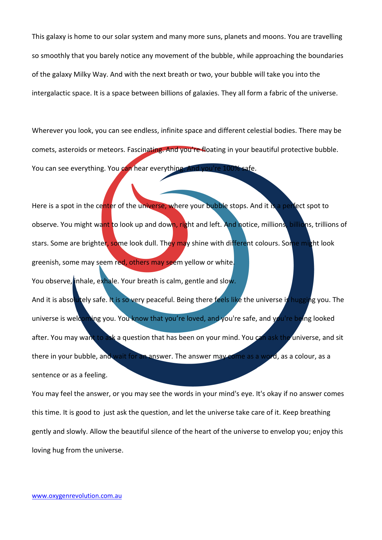This galaxy is home to our solar system and many more suns, planets and moons. You are travelling so smoothly that you barely notice any movement of the bubble, while approaching the boundaries of the galaxy Milky Way. And with the next breath or two, your bubble will take you into the intergalactic space. It is a space between billions of galaxies. They all form a fabric of the universe.

Wherever you look, you can see endless, infinite space and different celestial bodies. There may be comets, asteroids or meteors. Fascinating. And you're floating in your beautiful protective bubble. You can see everything. You can hear everything. And you're 100% safe.

Here is a spot in the center of the universe, where your bubble stops. And it is a perfect spot to observe. You might want to look up and down, right and left. And notice, millions, billions, trillions of stars. Some are brighter, some look dull. They may shine with different colours. Some might look greenish, some may seem red, others may seem yellow or white. You observe, inhale, exhale. Your breath is calm, gentle and slow. And it is absolutely safe. It is so very peaceful. Being there feels like the universe is hugging you. The universe is welcoming you. You know that you're loved, and you're safe, and you're being looked after. You may want to ask a question that has been on your mind. You can ask the universe, and sit there in your bubble, and wait for an answer. The answer may come as a word, as a colour, as a sentence or as a feeling.

You may feel the answer, or you may see the words in your mind's eye. It's okay if no answer comes this time. It is good to just ask the question, and let the universe take care of it. Keep breathing gently and slowly. Allow the beautiful silence of the heart of the universe to envelop you; enjoy this loving hug from the universe.